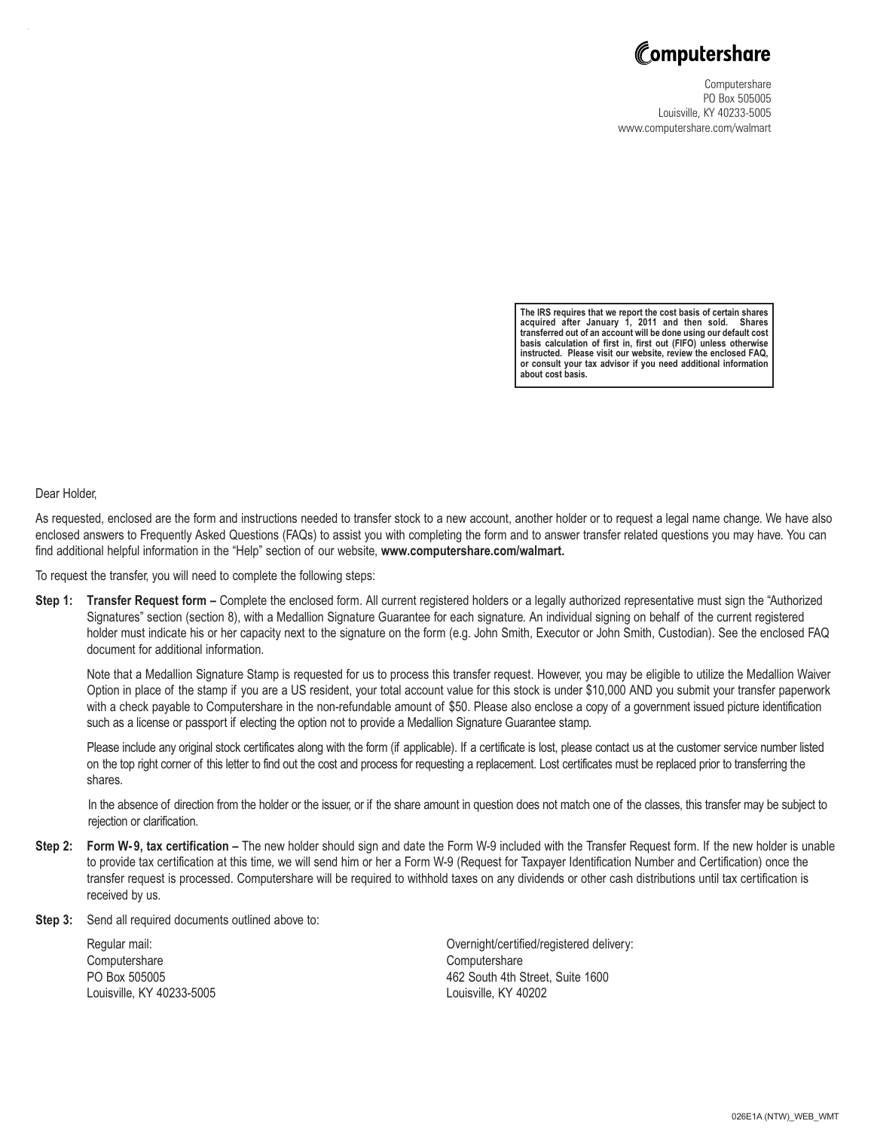

Computershare PO Box 505005 Louisville, KY 40233-5005 www.computershare.com/walmart

**The IRS requires that we report the cost basis of certain shares acquired after January 1, 2011 and then sold. Shares transferred out of an account will be done using our default cost basis calculation of first in, first out (FIFO) unless otherwise instructed. Please visit our website, review the enclosed FAQ, or consult your tax advisor if you need additional information about cost basis.**

Dear Holder,

As requested, enclosed are the form and instructions needed to transfer stock to a new account, another holder or to request a legal name change. We have also enclosed answers to Frequently Asked Questions (FAQs) to assist you with completing the form and to answer transfer related questions you may have. You can find additional helpful information in the "Help" section of our website, **www.computershare.com/walmart.**

To request the transfer, you will need to complete the following steps:

**Step 1: Transfer Request form –** Complete the enclosed form. All current registered holders or a legally authorized representative must sign the "Authorized Signatures" section (section 8), with a Medallion Signature Guarantee for each signature. An individual signing on behalf of the current registered holder must indicate his or her capacity next to the signature on the form (e.g. John Smith, Executor or John Smith, Custodian). See the enclosed FAQ document for additional information.

Note that a Medallion Signature Stamp is requested for us to process this transfer request. However, you may be eligible to utilize the Medallion Waiver Option in place of the stamp if you are a US resident, your total account value for this stock is under \$10,000 AND you submit your transfer paperwork with a check payable to Computershare in the non-refundable amount of \$50. Please also enclose a copy of a government issued picture identification such as a license or passport if electing the option not to provide a Medallion Signature Guarantee stamp.

Please include any original stock certificates along with the form (if applicable). If a certificate is lost, please contact us at the customer service number listed on the top right corner of this letter to find out the cost and process for requesting a replacement. Lost certificates must be replaced prior to transferring the shares.

In the absence of direction from the holder or the issuer, or if the share amount in question does not match one of the classes, this transfer may be subject to rejection or clarification.

- **Step 2:** Form W-9, tax certification The new holder should sign and date the Form W-9 included with the Transfer Request form. If the new holder is unable to provide tax certification at this time, we will send him or her a Form W-9 (Request for Taxpayer Identification Number and Certification) once the transfer request is processed. Computershare will be required to withhold taxes on any dividends or other cash distributions until tax certification is received by us.
- **Step 3:** Send all required documents outlined above to:

Computershare Computershare Louisville, KY 40233-5005 Louisville, KY 40202

Regular mail: Overnight/certified/registered delivery: PO Box 505005 **462 South 4th Street, Suite 1600**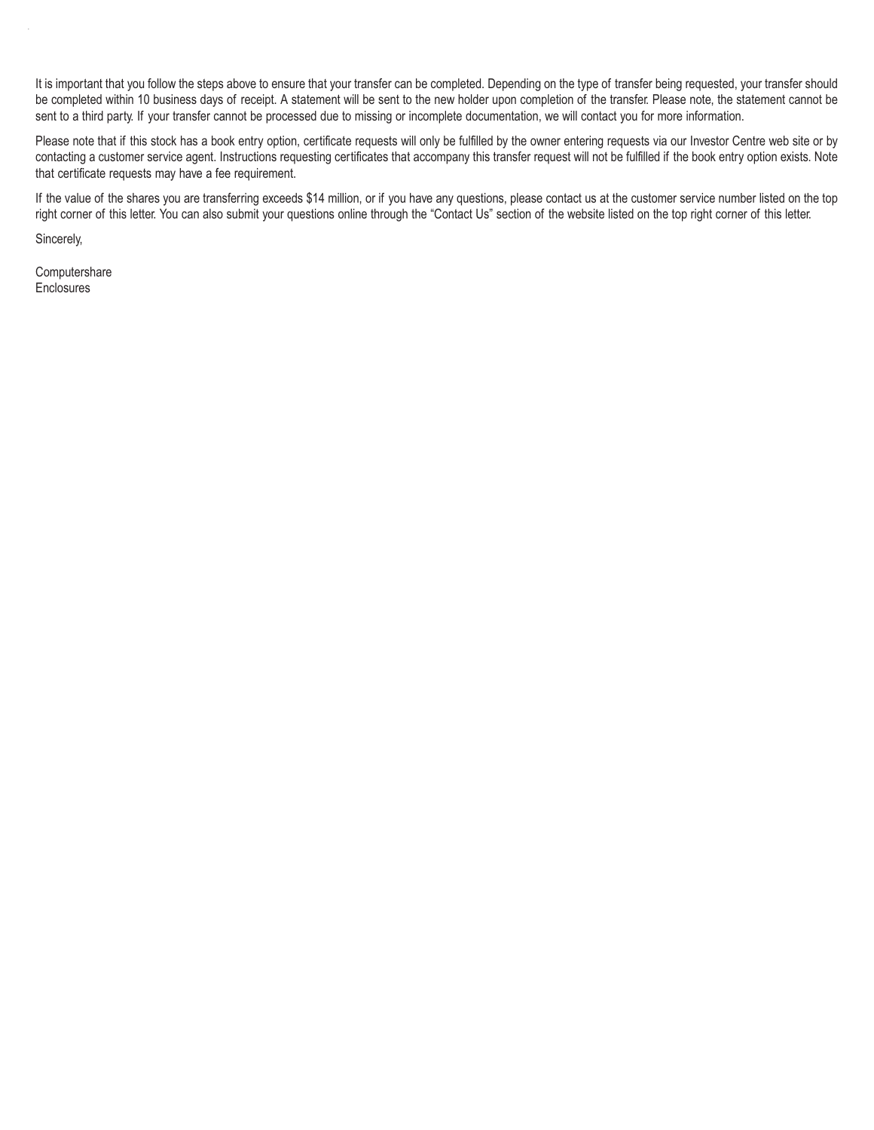It is important that you follow the steps above to ensure that your transfer can be completed. Depending on the type of transfer being requested, your transfer should be completed within 10 business days of receipt. A statement will be sent to the new holder upon completion of the transfer. Please note, the statement cannot be sent to a third party. If your transfer cannot be processed due to missing or incomplete documentation, we will contact you for more information.

Please note that if this stock has a book entry option, certificate requests will only be fulfilled by the owner entering requests via our Investor Centre web site or by contacting a customer service agent. Instructions requesting certificates that accompany this transfer request will not be fulfilled if the book entry option exists. Note that certificate requests may have a fee requirement.

If the value of the shares you are transferring exceeds \$14 million, or if you have any questions, please contact us at the customer service number listed on the top right corner of this letter. You can also submit your questions online through the "Contact Us" section of the website listed on the top right corner of this letter.

Sincerely,

**Computershare** Enclosures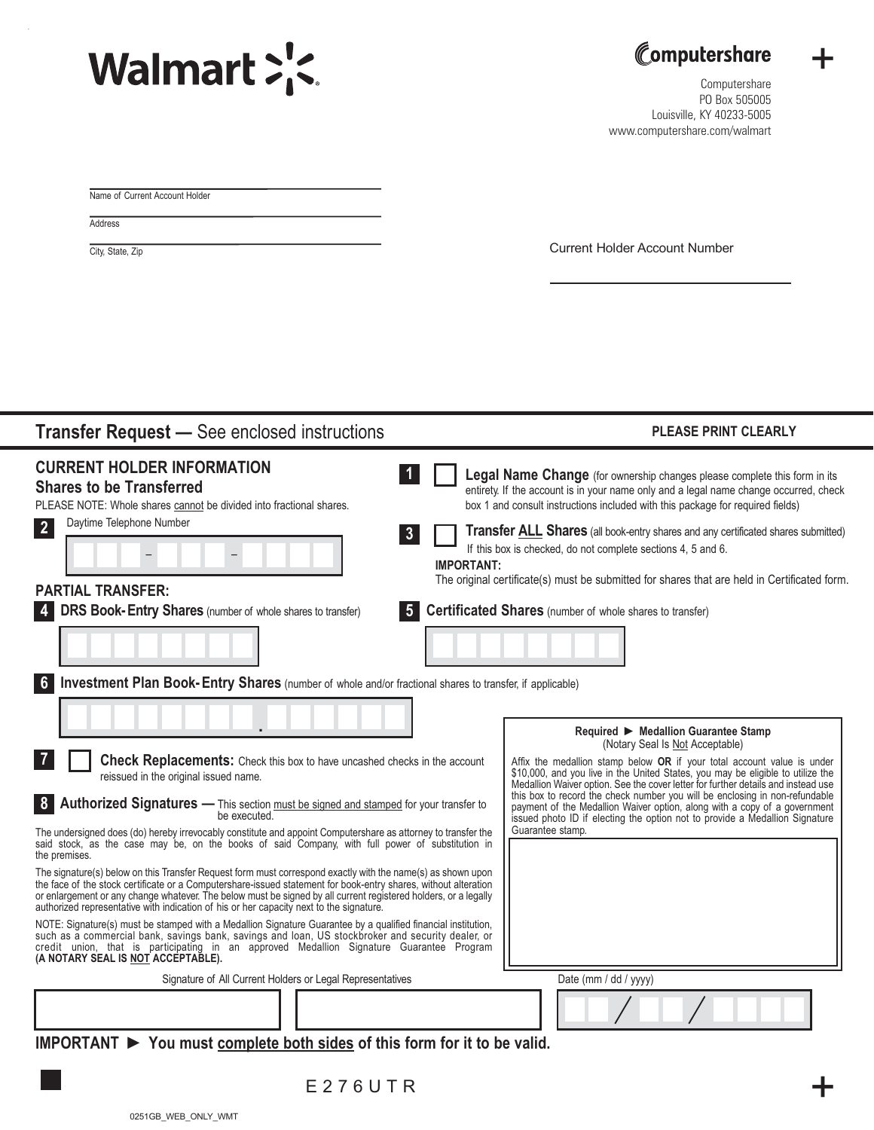. Reset Form





+

Computershare PO Box 505005 Louisville, KY 40233-5005 www.computershare.com/walmart

Name of Current Account Holder

**Address** 

City, State, Zip City, State, Zip

| <b>Transfer Request - See enclosed instructions</b>                                                                                                                                                                                                                                                                                                                                                                                                                                                                                                                | <b>PLEASE PRINT CLEARLY</b>                                                                                                                                                                                                                                                                                                                                                                                                                                                                                                                                                         |
|--------------------------------------------------------------------------------------------------------------------------------------------------------------------------------------------------------------------------------------------------------------------------------------------------------------------------------------------------------------------------------------------------------------------------------------------------------------------------------------------------------------------------------------------------------------------|-------------------------------------------------------------------------------------------------------------------------------------------------------------------------------------------------------------------------------------------------------------------------------------------------------------------------------------------------------------------------------------------------------------------------------------------------------------------------------------------------------------------------------------------------------------------------------------|
| <b>CURRENT HOLDER INFORMATION</b><br><b>Shares to be Transferred</b><br>PLEASE NOTE: Whole shares cannot be divided into fractional shares.<br>Daytime Telephone Number<br>$\vert 2 \vert$<br>$\overline{\mathbf{3}}$<br><b>IMPORTANT:</b><br><b>PARTIAL TRANSFER:</b><br>DRS Book-Entry Shares (number of whole shares to transfer)<br>$5^{\circ}$                                                                                                                                                                                                                | Legal Name Change (for ownership changes please complete this form in its<br>entirety. If the account is in your name only and a legal name change occurred, check<br>box 1 and consult instructions included with this package for required fields)<br><b>Transfer ALL Shares</b> (all book-entry shares and any certificated shares submitted)<br>If this box is checked, do not complete sections 4, 5 and 6.<br>The original certificate(s) must be submitted for shares that are held in Certificated form.<br><b>Certificated Shares</b> (number of whole shares to transfer) |
| Investment Plan Book-Entry Shares (number of whole and/or fractional shares to transfer, if applicable)                                                                                                                                                                                                                                                                                                                                                                                                                                                            | Required ▶ Medallion Guarantee Stamp                                                                                                                                                                                                                                                                                                                                                                                                                                                                                                                                                |
| $\mathbf{7}$<br><b>Check Replacements:</b> Check this box to have uncashed checks in the account<br>reissued in the original issued name.<br>Authorized Signatures - This section must be signed and stamped for your transfer to<br> 8 <br>be executed.                                                                                                                                                                                                                                                                                                           | (Notary Seal Is Not Acceptable)<br>Affix the medallion stamp below OR if your total account value is under<br>\$10,000, and you live in the United States, you may be eligible to utilize the<br>Medallion Waiver option. See the cover letter for further details and instead use<br>this box to record the check number you will be enclosing in non-refundable<br>payment of the Medallion Waiver option, along with a copy of a government<br>issued photo ID if electing the option not to provide a Medallion Signature<br>Guarantee stamp.                                   |
| The undersigned does (do) hereby irrevocably constitute and appoint Computershare as attorney to transfer the<br>said stock, as the case may be, on the books of said Company, with full power of substitution in<br>the premises.<br>The signature(s) below on this Transfer Request form must correspond exactly with the name(s) as shown upon<br>the face of the stock certificate or a Computershare-issued statement for book-entry shares, without alteration                                                                                               |                                                                                                                                                                                                                                                                                                                                                                                                                                                                                                                                                                                     |
| or enlargement or any change whatever. The below must be signed by all current registered holders, or a legally<br>authorized representative with indication of his or her capacity next to the signature.<br>NOTE: Signature(s) must be stamped with a Medallion Signature Guarantee by a qualified financial institution,<br>such as a commercial bank, savings bank, savings and loan, US stockbroker and security dealer, or<br>credit union, that is participating in an approved Medallion Signature Guarantee Program<br>(A NOTARY SEAL IS NOT ACCEPTABLE). |                                                                                                                                                                                                                                                                                                                                                                                                                                                                                                                                                                                     |
| Signature of All Current Holders or Legal Representatives<br>$MDORTANT$ $\triangleright$ You must complete both sides of this form for it to be valid                                                                                                                                                                                                                                                                                                                                                                                                              | Date (mm / dd / yyyy)                                                                                                                                                                                                                                                                                                                                                                                                                                                                                                                                                               |

**IMPORTANT ► You must complete both sides of this form for it to be valid.**

E276UTR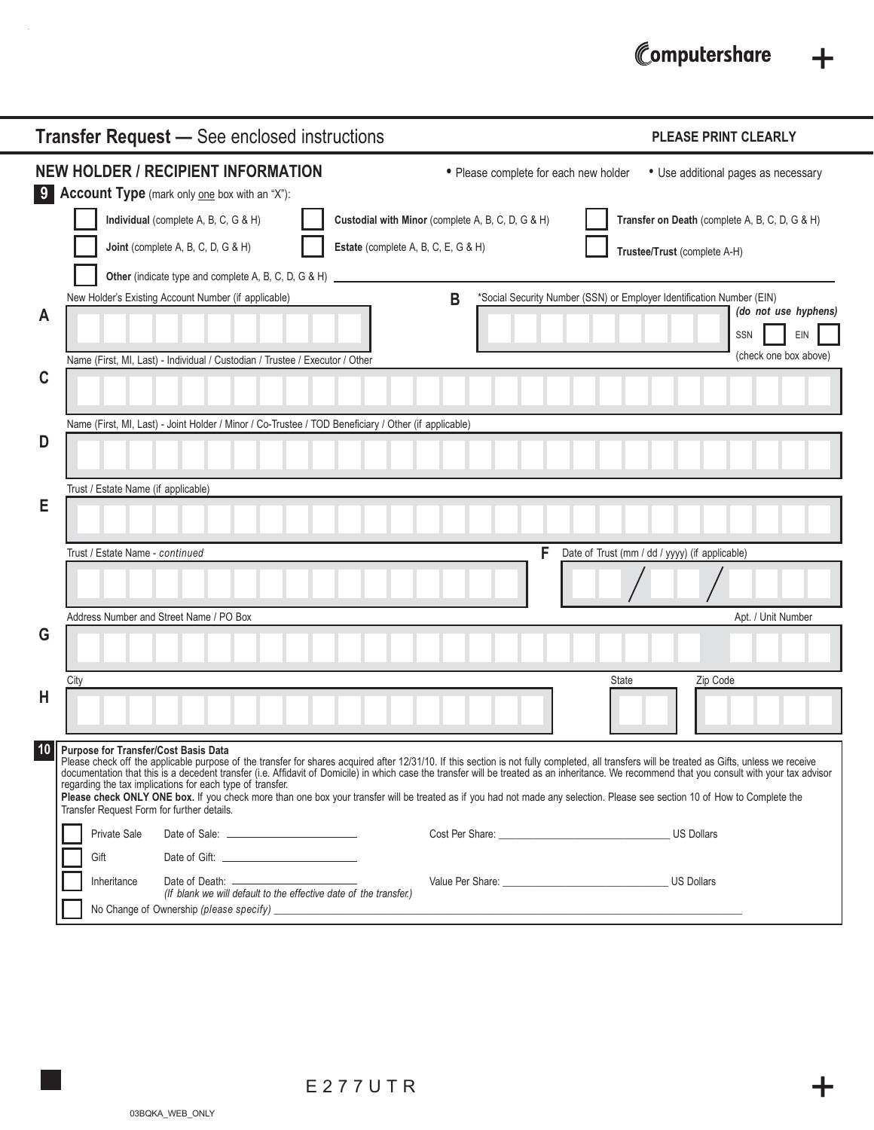# Computershare +

|    | <b>Transfer Request - See enclosed instructions</b>                                                                                                                                                                                                                                                                                                                                                                                                                                                                                                                                                                                                                                                                                    | <b>PLEASE PRINT CLEARLY</b>                                                                                 |
|----|----------------------------------------------------------------------------------------------------------------------------------------------------------------------------------------------------------------------------------------------------------------------------------------------------------------------------------------------------------------------------------------------------------------------------------------------------------------------------------------------------------------------------------------------------------------------------------------------------------------------------------------------------------------------------------------------------------------------------------------|-------------------------------------------------------------------------------------------------------------|
|    | <b>NEW HOLDER / RECIPIENT INFORMATION</b><br>• Please complete for each new holder<br>9 Account Type (mark only one box with an "X"):                                                                                                                                                                                                                                                                                                                                                                                                                                                                                                                                                                                                  | • Use additional pages as necessary                                                                         |
|    | Individual (complete A, B, C, G & H)<br>Custodial with Minor (complete A, B, C, D, G & H)<br>Joint (complete A, B, C, D, G & H)<br>Estate (complete A, B, C, E, G & H)                                                                                                                                                                                                                                                                                                                                                                                                                                                                                                                                                                 | Transfer on Death (complete A, B, C, D, G & H)<br>Trustee/Trust (complete A-H)                              |
| A  | Other (indicate type and complete A, B, C, D, G & H)<br>B<br>New Holder's Existing Account Number (if applicable)                                                                                                                                                                                                                                                                                                                                                                                                                                                                                                                                                                                                                      | *Social Security Number (SSN) or Employer Identification Number (EIN)<br>(do not use hyphens)<br>EIN<br>SSN |
| C  | Name (First, MI, Last) - Individual / Custodian / Trustee / Executor / Other                                                                                                                                                                                                                                                                                                                                                                                                                                                                                                                                                                                                                                                           | (check one box above)                                                                                       |
| D  | Name (First, MI, Last) - Joint Holder / Minor / Co-Trustee / TOD Beneficiary / Other (if applicable)                                                                                                                                                                                                                                                                                                                                                                                                                                                                                                                                                                                                                                   |                                                                                                             |
| Е  | Trust / Estate Name (if applicable)                                                                                                                                                                                                                                                                                                                                                                                                                                                                                                                                                                                                                                                                                                    |                                                                                                             |
|    | F<br>Trust / Estate Name - continued                                                                                                                                                                                                                                                                                                                                                                                                                                                                                                                                                                                                                                                                                                   | Date of Trust (mm / dd / yyyy) (if applicable)                                                              |
| G  | Address Number and Street Name / PO Box                                                                                                                                                                                                                                                                                                                                                                                                                                                                                                                                                                                                                                                                                                | Apt. / Unit Number                                                                                          |
| H  | City                                                                                                                                                                                                                                                                                                                                                                                                                                                                                                                                                                                                                                                                                                                                   | <b>State</b><br>Zip Code                                                                                    |
| 10 | <b>Purpose for Transfer/Cost Basis Data</b><br>Please check off the applicable purpose of the transfer for shares acquired after 12/31/10. If this section is not fully completed, all transfers will be treated as Gifts, unless we receive<br>documentation that this is a decedent transfer (i.e. Affidavit of Domicile) in which case the transfer will be treated as an inheritance. We recommend that you consult with your tax advisor<br>regarding the tax implications for each type of transfer.<br>Please check ONLY ONE box. If you check more than one box your transfer will be treated as if you had not made any selection. Please see section 10 of How to Complete the<br>Transfer Request Form for further details. |                                                                                                             |
|    | Private Sale<br>Gift                                                                                                                                                                                                                                                                                                                                                                                                                                                                                                                                                                                                                                                                                                                   | <b>US Dollars</b>                                                                                           |
|    | Inheritance<br>(If blank we will default to the effective date of the transfer.)                                                                                                                                                                                                                                                                                                                                                                                                                                                                                                                                                                                                                                                       |                                                                                                             |

.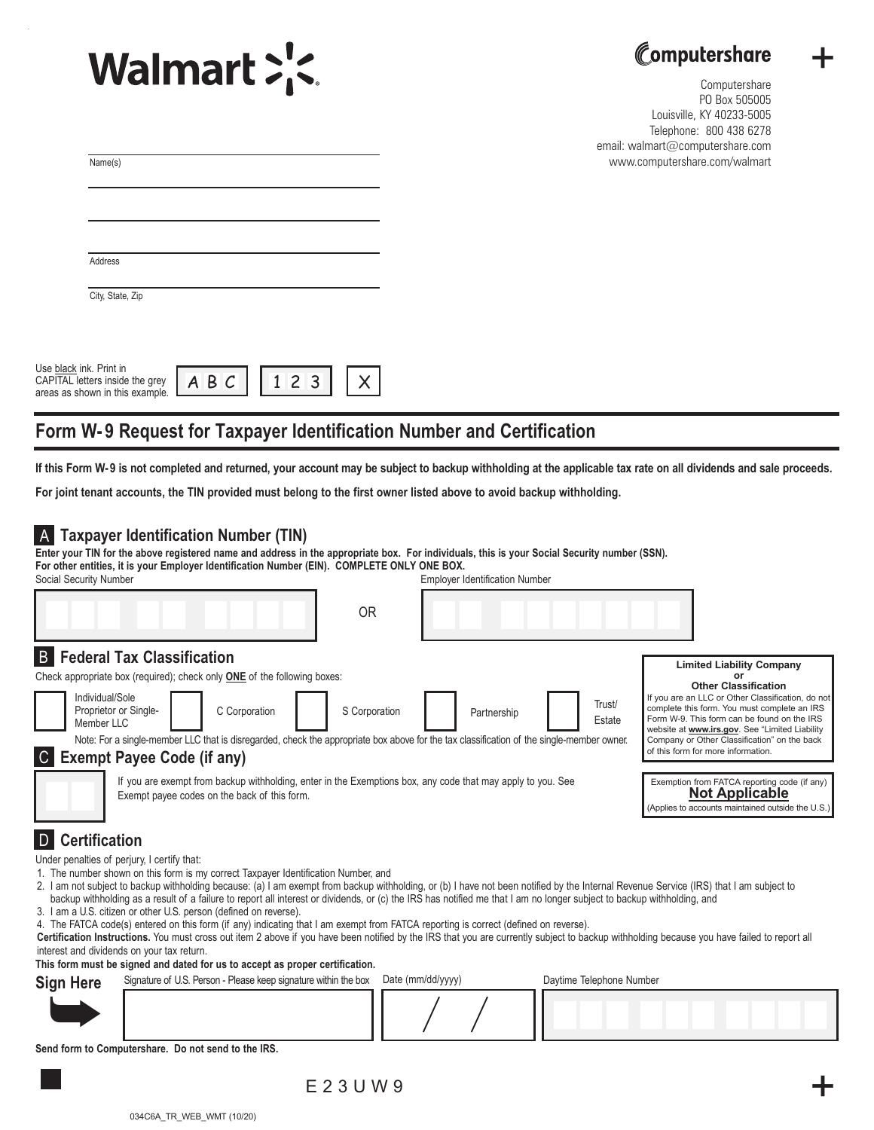



+

Computershare PO Box 505005 Louisville, KY 40233-5005 Telephone: 800 438 6278 email: walmart@computershare.com www.computershare.com/walmart

| Name(s)                                                                                       |             |     |  |
|-----------------------------------------------------------------------------------------------|-------------|-----|--|
|                                                                                               |             |     |  |
|                                                                                               |             |     |  |
|                                                                                               |             |     |  |
| Address                                                                                       |             |     |  |
| City, State, Zip                                                                              |             |     |  |
|                                                                                               |             |     |  |
|                                                                                               |             |     |  |
| Use black ink. Print in<br>CAPITAL letters inside the grey<br>areas as shown in this example. | $A$ $B$ $C$ | 123 |  |

# **Form W- 9 Request for Taxpayer Identification Number and Certification**

**If this Form W-9 is not completed and returned, your account may be subject to backup withholding at the applicable tax rate on all dividends and sale proceeds.** 

**For joint tenant accounts, the TIN provided must belong to the first owner listed above to avoid backup withholding.** 

# A **Taxpayer Identification Number (TIN)**

Social Security Number **Employer Identification Number Employer Identification Number Enter your TIN for the above registered name and address in the appropriate box. For individuals, this is your Social Security number (SSN). For other entities, it is your Employer Identification Number (EIN). COMPLETE ONLY ONE BOX.**

|                                                                                                                                                                                                                                                                                                                                                                                           | <b>OR</b>     |             |                  |                                                                                                                                                                                                                                                                                                                                                                   |
|-------------------------------------------------------------------------------------------------------------------------------------------------------------------------------------------------------------------------------------------------------------------------------------------------------------------------------------------------------------------------------------------|---------------|-------------|------------------|-------------------------------------------------------------------------------------------------------------------------------------------------------------------------------------------------------------------------------------------------------------------------------------------------------------------------------------------------------------------|
| <b>B</b> Federal Tax Classification<br>Check appropriate box (required); check only <b>ONE</b> of the following boxes:<br>Individual/Sole<br>Proprietor or Single-<br>C Corporation<br>Member LLC<br>Note: For a single-member LLC that is disregarded, check the appropriate box above for the tax classification of the single-member owner.<br><b>Exempt Payee Code (if any)</b><br> C | S Corporation | Partnership | Trust/<br>Estate | <b>Limited Liability Company</b><br>or<br><b>Other Classification</b><br>If you are an LLC or Other Classification, do not<br>complete this form. You must complete an IRS<br>Form W-9. This form can be found on the IRS<br>website at www.irs.gov. See "Limited Liability<br>Company or Other Classification" on the back<br>of this form for more information. |
| If you are exempt from backup withholding, enter in the Exemptions box, any code that may apply to you. See<br>Exemption from FATCA reporting code (if any)<br><b>Not Applicable</b><br>Exempt payee codes on the back of this form.<br>(Applies to accounts maintained outside the U.S.)                                                                                                 |               |             |                  |                                                                                                                                                                                                                                                                                                                                                                   |
| <b>Certification</b><br>Under penalties of perjury, I certify that:                                                                                                                                                                                                                                                                                                                       |               |             |                  |                                                                                                                                                                                                                                                                                                                                                                   |

- 1. The number shown on this form is my correct Taxpayer Identification Number, and
- 2. I am not subject to backup withholding because: (a) I am exempt from backup withholding, or (b) I have not been notified by the Internal Revenue Service (IRS) that I am subject to backup withholding as a result of a failure to report all interest or dividends, or (c) the IRS has notified me that I am no longer subject to backup withholding, and
- 3. I am a U.S. citizen or other U.S. person (defined on reverse).
- 4. The FATCA code(s) entered on this form (if any) indicating that I am exempt from FATCA reporting is correct (defined on reverse).
- **Certification Instructions.** You must cross out item 2 above if you have been notified by the IRS that you are currently subject to backup withholding because you have failed to report all interest and dividends on your tax return.

**This form must be signed and dated for us to accept as proper certification.**

| <b>Sign Here</b>                                    | Signature of U.S. Person - Please keep signature within the box Date (mm/dd/yyyy) |  | Daytime Telephone Number |  |
|-----------------------------------------------------|-----------------------------------------------------------------------------------|--|--------------------------|--|
|                                                     |                                                                                   |  |                          |  |
| Cand farm to Computershops. Be not cand to the IDC. |                                                                                   |  |                          |  |

**Send form to Computershare. Do not send to the IRS.**

 $E$  2 3 U W 9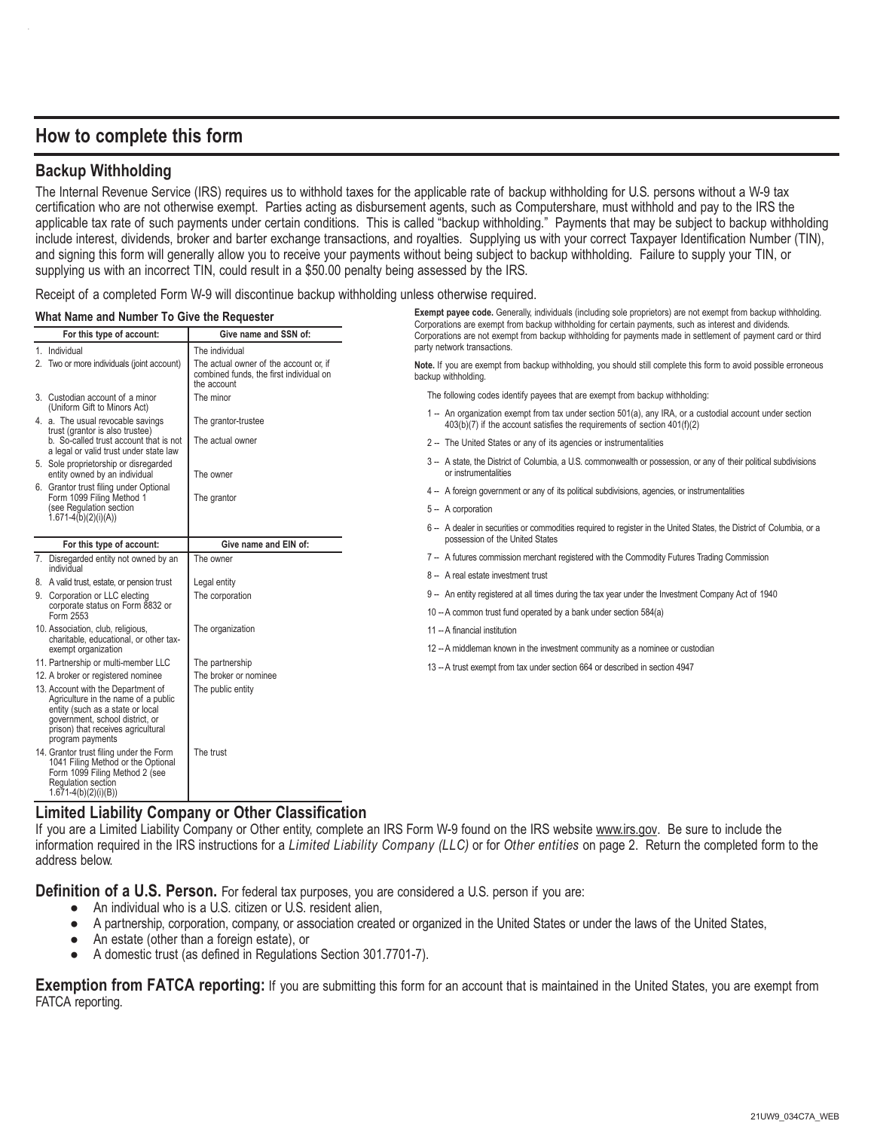# **How to complete this form**

# **Backup Withholding**

The Internal Revenue Service (IRS) requires us to withhold taxes for the applicable rate of backup withholding for U.S. persons without a W-9 tax certification who are not otherwise exempt. Parties acting as disbursement agents, such as Computershare, must withhold and pay to the IRS the applicable tax rate of such payments under certain conditions. This is called "backup withholding." Payments that may be subject to backup withholding include interest, dividends, broker and barter exchange transactions, and royalties. Supplying us with your correct Taxpayer Identification Number (TIN), and signing this form will generally allow you to receive your payments without being subject to backup withholding. Failure to supply your TIN, or supplying us with an incorrect TIN, could result in a \$50.00 penalty being assessed by the IRS.

Receipt of a completed Form W-9 will discontinue backup withholding unless otherwise required.

### What Name and Number To Give the Requester **Exempt payee code.** Generally, individuals (including sole proprietors) are not exempt from backup withholding.

| what name and number To Give the Requester                    |                                                                                                                                                                                                            |                                                                                                                                                 | Corporations are exempt from backup withholding for certain payments, such as interest and dividends.                                                                                |  |  |  |
|---------------------------------------------------------------|------------------------------------------------------------------------------------------------------------------------------------------------------------------------------------------------------------|-------------------------------------------------------------------------------------------------------------------------------------------------|--------------------------------------------------------------------------------------------------------------------------------------------------------------------------------------|--|--|--|
| Give name and SSN of:<br>For this type of account:            |                                                                                                                                                                                                            |                                                                                                                                                 | Corporations are not exempt from backup withholding for payments made in settlement of payment card or third                                                                         |  |  |  |
|                                                               | 1. Individual                                                                                                                                                                                              | The individual                                                                                                                                  | party network transactions.                                                                                                                                                          |  |  |  |
|                                                               | 2. Two or more individuals (joint account)                                                                                                                                                                 | The actual owner of the account or, if<br>combined funds, the first individual on<br>the account                                                | Note. If you are exempt from backup withholding, you should still complete this form to avoid possible erroneous<br>backup withholding.                                              |  |  |  |
|                                                               | 3. Custodian account of a minor                                                                                                                                                                            | The minor                                                                                                                                       | The following codes identify payees that are exempt from backup withholding:                                                                                                         |  |  |  |
|                                                               | (Uniform Gift to Minors Act)<br>4. a. The usual revocable savings<br>trust (grantor is also trustee)                                                                                                       | The grantor-trustee                                                                                                                             | 1 -- An organization exempt from tax under section 501(a), any IRA, or a custodial account under section<br>403(b)(7) if the account satisfies the requirements of section 401(f)(2) |  |  |  |
|                                                               | b. So-called trust account that is not<br>a legal or valid trust under state law                                                                                                                           | The actual owner                                                                                                                                | 2 -- The United States or any of its agencies or instrumentalities                                                                                                                   |  |  |  |
|                                                               | 5. Sole proprietorship or disregarded<br>entity owned by an individual                                                                                                                                     | The owner                                                                                                                                       | 3 -- A state, the District of Columbia, a U.S. commonwealth or possession, or any of their political subdivisions<br>or instrumentalities                                            |  |  |  |
|                                                               | 6. Grantor trust filing under Optional<br>Form 1099 Filing Method 1                                                                                                                                        | The grantor                                                                                                                                     | 4 -- A foreign government or any of its political subdivisions, agencies, or instrumentalities                                                                                       |  |  |  |
|                                                               | (see Regulation section<br>$1.671 - 4(b)(2)(i)(A)$                                                                                                                                                         |                                                                                                                                                 | 5 - A corporation                                                                                                                                                                    |  |  |  |
|                                                               |                                                                                                                                                                                                            |                                                                                                                                                 | 6 -- A dealer in securities or commodities required to register in the United States, the District of Columbia, or a                                                                 |  |  |  |
|                                                               | For this type of account:                                                                                                                                                                                  | Give name and EIN of:                                                                                                                           | possession of the United States                                                                                                                                                      |  |  |  |
|                                                               | 7. Disregarded entity not owned by an                                                                                                                                                                      | The owner                                                                                                                                       | 7 -- A futures commission merchant registered with the Commodity Futures Trading Commission                                                                                          |  |  |  |
|                                                               | individual<br>8. A valid trust, estate, or pension trust                                                                                                                                                   | Legal entity                                                                                                                                    | 8 -- A real estate investment trust                                                                                                                                                  |  |  |  |
|                                                               | 9. Corporation or LLC electing                                                                                                                                                                             | The corporation                                                                                                                                 | 9 -- An entity registered at all times during the tax year under the Investment Company Act of 1940                                                                                  |  |  |  |
|                                                               | corporate status on Form 8832 or<br>Form 2553                                                                                                                                                              |                                                                                                                                                 | 10 -- A common trust fund operated by a bank under section 584(a)                                                                                                                    |  |  |  |
|                                                               | 10. Association, club, religious,                                                                                                                                                                          | The organization                                                                                                                                | 11 -- A financial institution                                                                                                                                                        |  |  |  |
| charitable, educational, or other tax-<br>exempt organization |                                                                                                                                                                                                            |                                                                                                                                                 | 12 -- A middleman known in the investment community as a nominee or custodian                                                                                                        |  |  |  |
|                                                               | 11. Partnership or multi-member LLC                                                                                                                                                                        | The partnership                                                                                                                                 | 13 -- A trust exempt from tax under section 664 or described in section 4947                                                                                                         |  |  |  |
|                                                               | 12. A broker or registered nominee                                                                                                                                                                         | The broker or nominee                                                                                                                           |                                                                                                                                                                                      |  |  |  |
|                                                               | 13. Account with the Department of<br>Agriculture in the name of a public<br>entity (such as a state or local<br>government, school district, or<br>prison) that receives agricultural<br>program payments | The public entity                                                                                                                               |                                                                                                                                                                                      |  |  |  |
|                                                               | 14. Grantor trust filing under the Form<br>1041 Filing Method or the Optional<br>Form 1099 Filing Method 2 (see<br>Regulation section<br>$1.671-4(b)(2)(i)(B))$                                            | The trust<br>and the second second and the second second the second second the second second the second second second and s<br>$\sim$<br>$\sim$ |                                                                                                                                                                                      |  |  |  |

# **Limited Liability Company or Other Classification**

If you are a Limited Liability Company or Other entity, complete an IRS Form W-9 found on the IRS website www.irs.gov. Be sure to include the information required in the IRS instructions for a *Limited Liability Company (LLC)* or for *Other entities* on page 2. Return the completed form to the address below.

**Definition of a U.S. Person.** For federal tax purposes, you are considered a U.S. person if you are:

- An individual who is a U.S. citizen or U.S. resident alien,
- A partnership, corporation, company, or association created or organized in the United States or under the laws of the United States,
- An estate (other than a foreign estate), or
- A domestic trust (as defined in Regulations Section 301.7701-7).

**Exemption from FATCA reporting:** If you are submitting this form for an account that is maintained in the United States, you are exempt from FATCA reporting.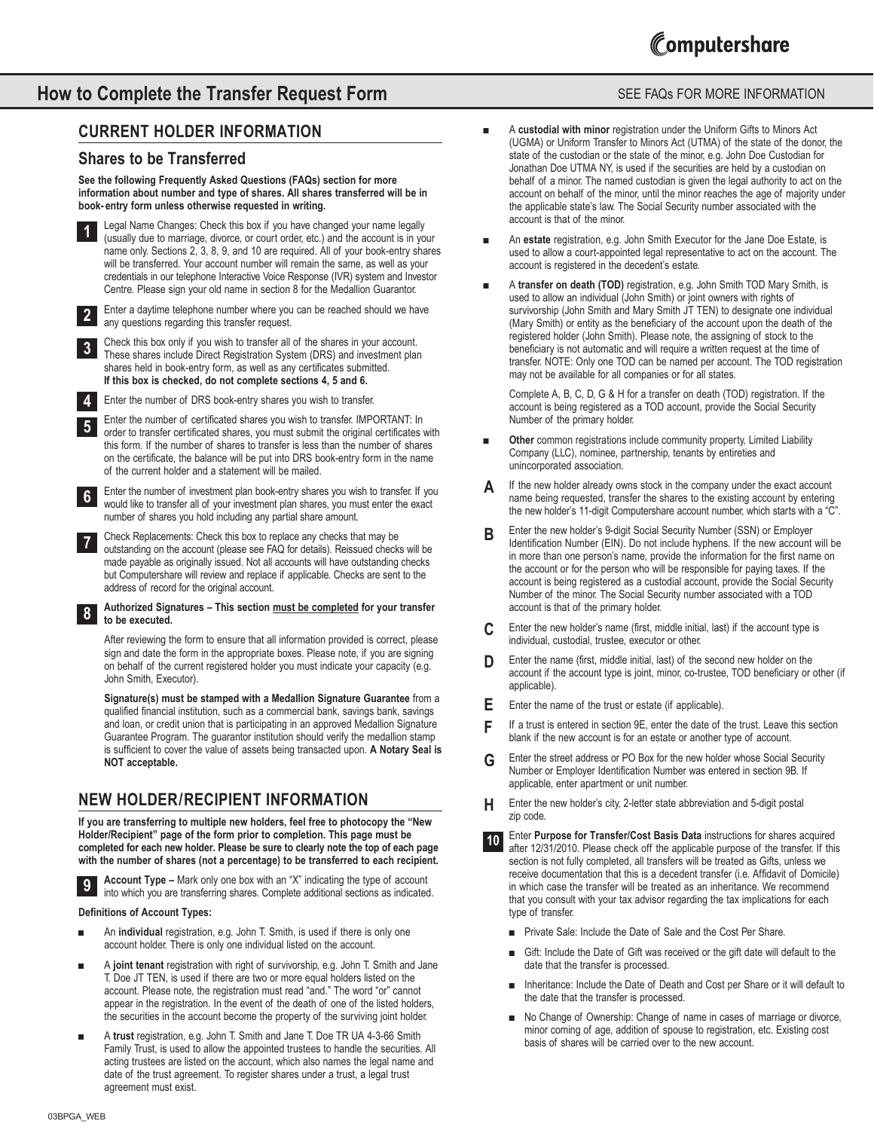# **How to Complete the Transfer Request Form** SEE FAQS FOR MORE INFORMATION

# **CURRENT HOLDER INFORMATION**

# **Shares to be Transferred**

#### **See the following Frequently Asked Questions (FAQs) section for more information about number and type of shares. All shares transferred will be in book- entry form unless otherwise requested in writing.**



Enter a daytime telephone number where you can be reached should we have any questions regarding this transfer request. **2**

Check this box only if you wish to transfer all of the shares in your account. These shares include Direct Registration System (DRS) and investment plan shares held in book-entry form, as well as any certificates submitted. **If this box is checked, do not complete sections 4, 5 and 6. 3**



**8**

**9**

Enter the number of DRS book-entry shares you wish to transfer.

Enter the number of certificated shares you wish to transfer. IMPORTANT: In order to transfer certificated shares, you must submit the original certificates with this form. If the number of shares to transfer is less than the number of shares on the certificate, the balance will be put into DRS book-entry form in the name of the current holder and a statement will be mailed. **5**

Enter the number of investment plan book-entry shares you wish to transfer. If you would like to transfer all of your investment plan shares, you must enter the exact number of shares you hold including any partial share amount. **6**

Check Replacements: Check this box to replace any checks that may be outstanding on the account (please see FAQ for details). Reissued checks will be made payable as originally issued. Not all accounts will have outstanding checks but Computershare will review and replace if applicable. Checks are sent to the address of record for the original account. **7**

#### **Authorized Signatures – This section must be completed for your transfer to be executed.**

After reviewing the form to ensure that all information provided is correct, please sign and date the form in the appropriate boxes. Please note, if you are signing on behalf of the current registered holder you must indicate your capacity (e.g. John Smith, Executor).

**Signature(s) must be stamped with a Medallion Signature Guarantee** from a qualified financial institution, such as a commercial bank, savings bank, savings and loan, or credit union that is participating in an approved Medallion Signature Guarantee Program. The guarantor institution should verify the medallion stamp is sufficient to cover the value of assets being transacted upon. **A Notary Seal is NOT acceptable.**

# **NEW HOLDER/RECIPIENT INFORMATION**

**If you are transferring to multiple new holders, feel free to photocopy the "New Holder/Recipient" page of the form prior to completion. This page must be completed for each new holder. Please be sure to clearly note the top of each page with the number of shares (not a percentage) to be transferred to each recipient.**

**Account Type –** Mark only one box with an "X" indicating the type of account into which you are transferring shares. Complete additional sections as indicated.

#### **Definitions of Account Types:**

- An *individual* registration, e.g. John T. Smith, is used if there is only one account holder. There is only one individual listed on the account.
- *■* A **joint tenant** registration with right of survivorship, e.g. John T. Smith and Jane T. Doe JT TEN, is used if there are two or more equal holders listed on the account. Please note, the registration must read "and." The word "or" cannot appear in the registration. In the event of the death of one of the listed holders, the securities in the account become the property of the surviving joint holder.
- *■* A **trust** registration, e.g. John T. Smith and Jane T. Doe TR UA 4-3-66 Smith Family Trust, is used to allow the appointed trustees to handle the securities. All acting trustees are listed on the account, which also names the legal name and date of the trust agreement. To register shares under a trust, a legal trust agreement must exist.

- *■* A **custodial with minor** registration under the Uniform Gifts to Minors Act (UGMA) or Uniform Transfer to Minors Act (UTMA) of the state of the donor, the state of the custodian or the state of the minor, e.g. John Doe Custodian for Jonathan Doe UTMA NY, is used if the securities are held by a custodian on behalf of a minor. The named custodian is given the legal authority to act on the account on behalf of the minor, until the minor reaches the age of majority under the applicable state's law. The Social Security number associated with the account is that of the minor.
- *■* An **estate** registration, e.g. John Smith Executor for the Jane Doe Estate, is used to allow a court-appointed legal representative to act on the account. The account is registered in the decedent's estate.
- *■* A **transfer on death (TOD)** registration, e.g. John Smith TOD Mary Smith, is used to allow an individual (John Smith) or joint owners with rights of survivorship (John Smith and Mary Smith JT TEN) to designate one individual (Mary Smith) or entity as the beneficiary of the account upon the death of the registered holder (John Smith). Please note, the assigning of stock to the beneficiary is not automatic and will require a written request at the time of transfer. NOTE: Only one TOD can be named per account. The TOD registration may not be available for all companies or for all states.

Complete A, B, C, D, G & H for a transfer on death (TOD) registration. If the account is being registered as a TOD account, provide the Social Security Number of the primary holder.

- **Other** common registrations include community property, Limited Liability Company (LLC), nominee, partnership, tenants by entireties and unincorporated association.
- If the new holder already owns stock in the company under the exact account name being requested, transfer the shares to the existing account by entering the new holder's 11-digit Computershare account number, which starts with a "C". **A**
- Enter the new holder's 9-digit Social Security Number (SSN) or Employer Identification Number (EIN). Do not include hyphens. If the new account will be in more than one person's name, provide the information for the first name on the account or for the person who will be responsible for paying taxes. If the account is being registered as a custodial account, provide the Social Security Number of the minor. The Social Security number associated with a TOD account is that of the primary holder. **B**
- Enter the new holder's name (first, middle initial, last) if the account type is individual, custodial, trustee, executor or other. **C**
- Enter the name (first, middle initial, last) of the second new holder on the account if the account type is joint, minor, co-trustee, TOD beneficiary or other (if applicable). **D**
- Enter the name of the trust or estate (if applicable). **E**
- If a trust is entered in section 9E, enter the date of the trust. Leave this section blank if the new account is for an estate or another type of account. **F**
- Enter the street address or PO Box for the new holder whose Social Security Number or Employer Identification Number was entered in section 9B. If applicable, enter apartment or unit number. **G**
- Enter the new holder's city, 2-letter state abbreviation and 5-digit postal zip code. **H**
- Enter **Purpose for Transfer/Cost Basis Data** instructions for shares acquired after 12/31/2010. Please check off the applicable purpose of the transfer. If this section is not fully completed, all transfers will be treated as Gifts, unless we receive documentation that this is a decedent transfer (i.e. Affidavit of Domicile) in which case the transfer will be treated as an inheritance. We recommend that you consult with your tax advisor regarding the tax implications for each type of transfer. **10**
	- *■* Private Sale: Include the Date of Sale and the Cost Per Share.
	- *■* Gift: Include the Date of Gift was received or the gift date will default to the date that the transfer is processed.
	- *■* Inheritance: Include the Date of Death and Cost per Share or it will default to the date that the transfer is processed.
	- *■* No Change of Ownership: Change of name in cases of marriage or divorce, minor coming of age, addition of spouse to registration, etc. Existing cost basis of shares will be carried over to the new account.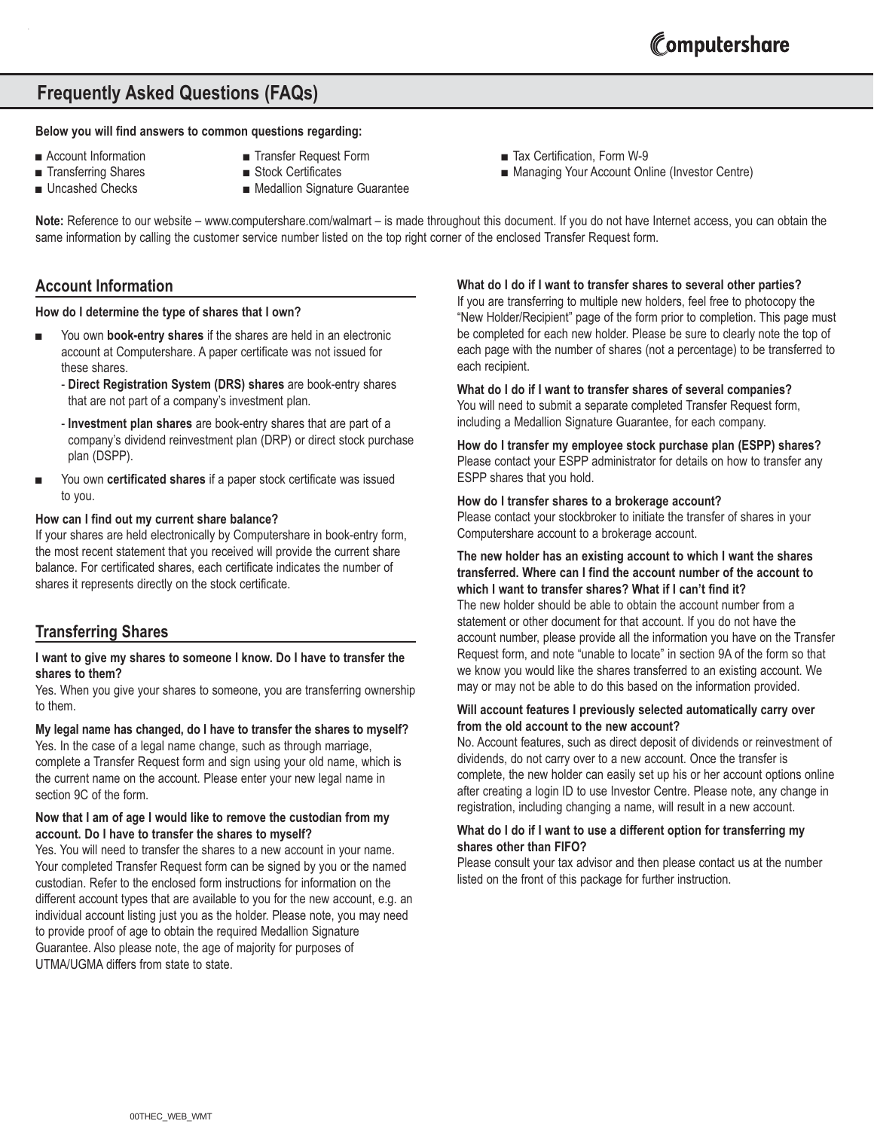# **Frequently Asked Questions (FAQs)**

#### **Below you will find answers to common questions regarding:**

- 
- Account Information Transfer Request Form Transfer Request Form Tax Certification, Form W-9
- Transferring Shares Stock Certificates Managing Your Account Online (Investor Centre)
- 
- 
- 
- Uncashed Checks Medallion Signature Guarantee

**Note:** Reference to our website – www.computershare.com/walmart – is made throughout this document. If you do not have Internet access, you can obtain the same information by calling the customer service number listed on the top right corner of the enclosed Transfer Request form.

# **Account Information**

#### **How do I determine the type of shares that I own?**

- You own **book-entry shares** if the shares are held in an electronic account at Computershare. A paper certificate was not issued for these shares.
	- **Direct Registration System (DRS) shares** are book-entry shares that are not part of a company's investment plan.
	- **Investment plan shares** are book-entry shares that are part of a company's dividend reinvestment plan (DRP) or direct stock purchase plan (DSPP).
- You own **certificated shares** if a paper stock certificate was issued to you.

#### **How can I find out my current share balance?**

If your shares are held electronically by Computershare in book-entry form, the most recent statement that you received will provide the current share balance. For certificated shares, each certificate indicates the number of shares it represents directly on the stock certificate.

# **Transferring Shares**

#### **I want to give my shares to someone I know. Do I have to transfer the shares to them?**

Yes. When you give your shares to someone, you are transferring ownership to them.

#### **My legal name has changed, do I have to transfer the shares to myself?**

Yes. In the case of a legal name change, such as through marriage, complete a Transfer Request form and sign using your old name, which is the current name on the account. Please enter your new legal name in section 9C of the form.

#### **Now that I am of age I would like to remove the custodian from my account. Do I have to transfer the shares to myself?**

Yes. You will need to transfer the shares to a new account in your name. Your completed Transfer Request form can be signed by you or the named custodian. Refer to the enclosed form instructions for information on the different account types that are available to you for the new account, e.g. an individual account listing just you as the holder. Please note, you may need to provide proof of age to obtain the required Medallion Signature Guarantee. Also please note, the age of majority for purposes of UTMA/UGMA differs from state to state.

#### **What do I do if I want to transfer shares to several other parties?**

If you are transferring to multiple new holders, feel free to photocopy the "New Holder/Recipient" page of the form prior to completion. This page must be completed for each new holder. Please be sure to clearly note the top of each page with the number of shares (not a percentage) to be transferred to each recipient.

#### **What do I do if I want to transfer shares of several companies?**

You will need to submit a separate completed Transfer Request form, including a Medallion Signature Guarantee, for each company.

**How do I transfer my employee stock purchase plan (ESPP) shares?** Please contact your ESPP administrator for details on how to transfer any ESPP shares that you hold.

#### **How do I transfer shares to a brokerage account?**

Please contact your stockbroker to initiate the transfer of shares in your Computershare account to a brokerage account.

#### **The new holder has an existing account to which I want the shares transferred. Where can I find the account number of the account to which I want to transfer shares? What if I can't find it?**

The new holder should be able to obtain the account number from a statement or other document for that account. If you do not have the account number, please provide all the information you have on the Transfer Request form, and note "unable to locate" in section 9A of the form so that we know you would like the shares transferred to an existing account. We may or may not be able to do this based on the information provided.

#### **Will account features I previously selected automatically carry over from the old account to the new account?**

No. Account features, such as direct deposit of dividends or reinvestment of dividends, do not carry over to a new account. Once the transfer is complete, the new holder can easily set up his or her account options online after creating a login ID to use Investor Centre. Please note, any change in registration, including changing a name, will result in a new account.

#### **What do I do if I want to use a different option for transferring my shares other than FIFO?**

Please consult your tax advisor and then please contact us at the number listed on the front of this package for further instruction.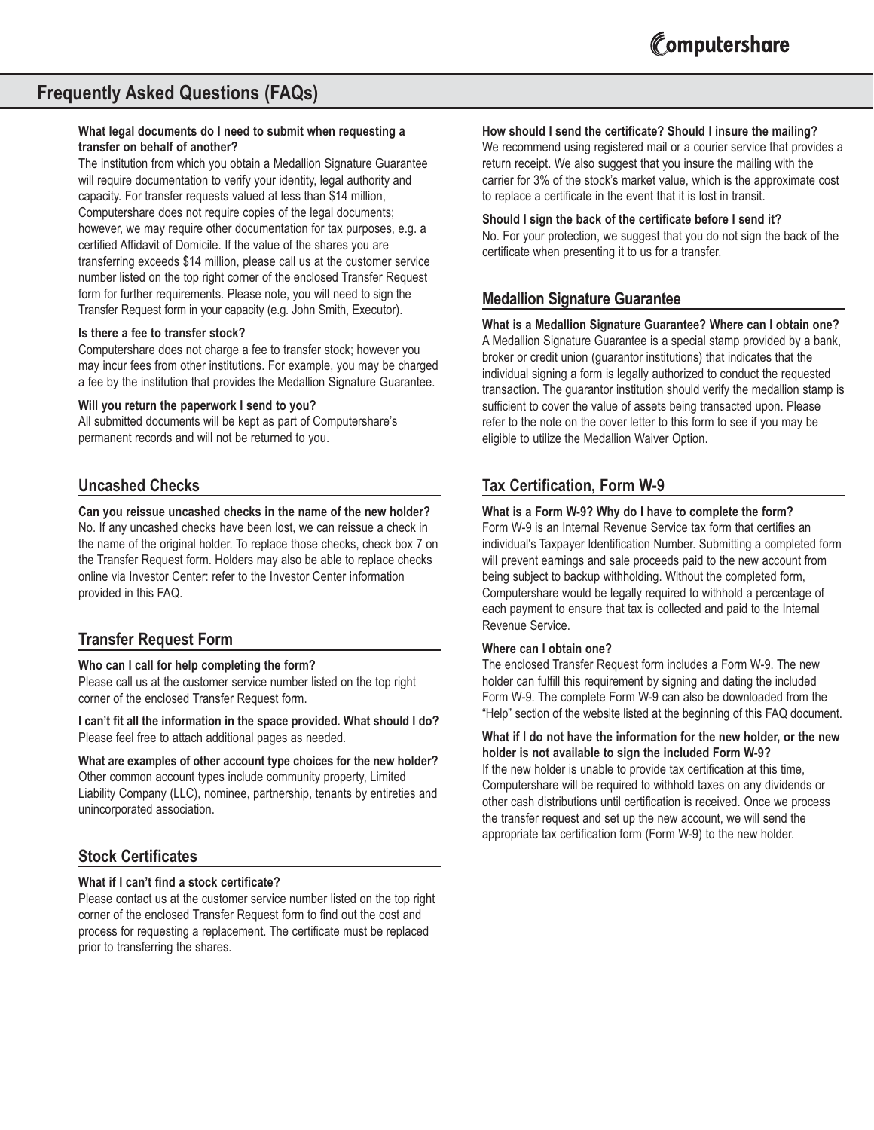# **Frequently Asked Questions (FAQs)**

#### **What legal documents do I need to submit when requesting a transfer on behalf of another?**

The institution from which you obtain a Medallion Signature Guarantee will require documentation to verify your identity, legal authority and capacity. For transfer requests valued at less than \$14 million, Computershare does not require copies of the legal documents; however, we may require other documentation for tax purposes, e.g. a certified Affidavit of Domicile. If the value of the shares you are transferring exceeds \$14 million, please call us at the customer service number listed on the top right corner of the enclosed Transfer Request form for further requirements. Please note, you will need to sign the Transfer Request form in your capacity (e.g. John Smith, Executor).

#### **Is there a fee to transfer stock?**

Computershare does not charge a fee to transfer stock; however you may incur fees from other institutions. For example, you may be charged a fee by the institution that provides the Medallion Signature Guarantee.

#### **Will you return the paperwork I send to you?**

All submitted documents will be kept as part of Computershare's permanent records and will not be returned to you.

# **Uncashed Checks**

#### **Can you reissue uncashed checks in the name of the new holder?**

No. If any uncashed checks have been lost, we can reissue a check in the name of the original holder. To replace those checks, check box 7 on the Transfer Request form. Holders may also be able to replace checks online via Investor Center: refer to the Investor Center information provided in this FAQ.

# **Transfer Request Form**

#### **Who can I call for help completing the form?**

Please call us at the customer service number listed on the top right corner of the enclosed Transfer Request form.

**I can't fit all the information in the space provided. What should I do?** Please feel free to attach additional pages as needed.

#### **What are examples of other account type choices for the new holder?**

Other common account types include community property, Limited Liability Company (LLC), nominee, partnership, tenants by entireties and unincorporated association.

# **Stock Certificates**

#### **What if I can't find a stock certificate?**

Please contact us at the customer service number listed on the top right corner of the enclosed Transfer Request form to find out the cost and process for requesting a replacement. The certificate must be replaced prior to transferring the shares.

#### **How should I send the certificate? Should I insure the mailing?**

We recommend using registered mail or a courier service that provides a return receipt. We also suggest that you insure the mailing with the carrier for 3% of the stock's market value, which is the approximate cost to replace a certificate in the event that it is lost in transit.

#### **Should I sign the back of the certificate before I send it?**

No. For your protection, we suggest that you do not sign the back of the certificate when presenting it to us for a transfer.

# **Medallion Signature Guarantee**

**What is a Medallion Signature Guarantee? Where can I obtain one?** A Medallion Signature Guarantee is a special stamp provided by a bank, broker or credit union (guarantor institutions) that indicates that the individual signing a form is legally authorized to conduct the requested transaction. The guarantor institution should verify the medallion stamp is sufficient to cover the value of assets being transacted upon. Please refer to the note on the cover letter to this form to see if you may be eligible to utilize the Medallion Waiver Option.

# **Tax Certification, Form W-9**

#### **What is a Form W-9? Why do I have to complete the form?**

Form W-9 is an Internal Revenue Service tax form that certifies an individual's Taxpayer Identification Number. Submitting a completed form will prevent earnings and sale proceeds paid to the new account from being subject to backup withholding. Without the completed form, Computershare would be legally required to withhold a percentage of each payment to ensure that tax is collected and paid to the Internal Revenue Service.

#### **Where can I obtain one?**

The enclosed Transfer Request form includes a Form W-9. The new holder can fulfill this requirement by signing and dating the included Form W-9. The complete Form W-9 can also be downloaded from the "Help" section of the website listed at the beginning of this FAQ document.

#### **What if I do not have the information for the new holder, or the new holder is not available to sign the included Form W-9?**

If the new holder is unable to provide tax certification at this time, Computershare will be required to withhold taxes on any dividends or other cash distributions until certification is received. Once we process the transfer request and set up the new account, we will send the appropriate tax certification form (Form W-9) to the new holder.